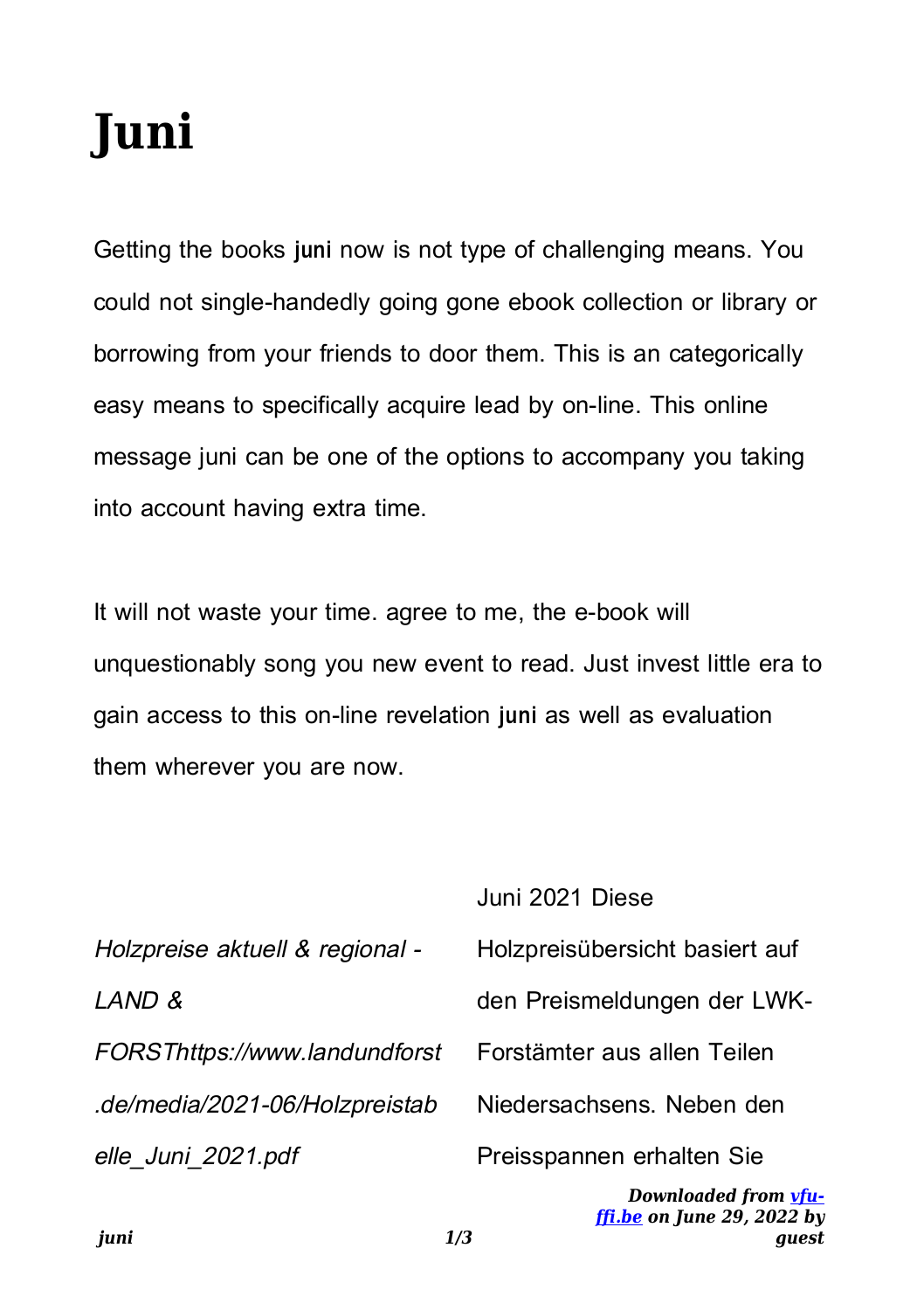## **Juni**

Getting the books **juni** now is not type of challenging means. You could not single-handedly going gone ebook collection or library or borrowing from your friends to door them. This is an categorically easy means to specifically acquire lead by on-line. This online message juni can be one of the options to accompany you taking into account having extra time.

It will not waste your time. agree to me, the e-book will unquestionably song you new event to read. Just invest little era to gain access to this on-line revelation **juni** as well as evaluation them wherever you are now.

| iuni<br>1/3                     | Downloaded from vfu-<br>$\int$ <i>ffi.be on June 29, 2022 by</i><br>auest |
|---------------------------------|---------------------------------------------------------------------------|
| elle Juni 2021.pdf              | Preisspannen erhalten Sie                                                 |
| .de/media/2021-06/Holzpreistab  | Niedersachsens. Neben den                                                 |
| FORSThttps://www.landundforst   | Forstämter aus allen Teilen                                               |
| LAND &                          | den Preismeldungen der LWK-                                               |
| Holzpreise aktuell & regional - | Holzpreisübersicht basiert auf                                            |
|                                 | Juni 2021 Diese                                                           |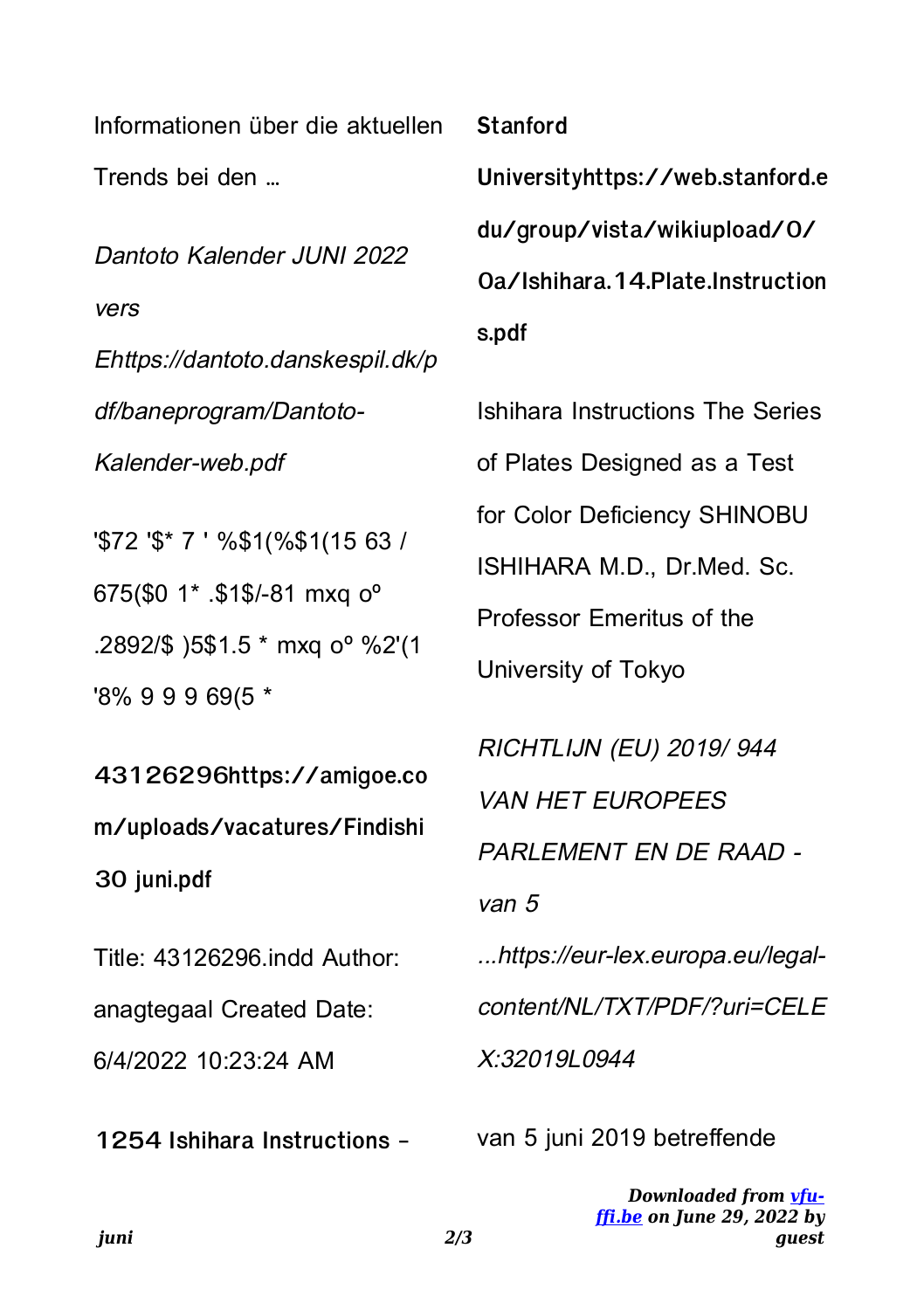Informationen über die aktuellen Trends bei den …

Dantoto Kalender JUNI 2022 vers Ehttps://dantoto.danskespil.dk/p df/baneprogram/Dantoto-Kalender-web.pdf

'\$72 '\$\* 7 ' %\$1(%\$1(15 63 / 675(\$0 1\* .\$1\$/-81 mxq oº .2892/\$ )5\$1.5 \* mxq oº %2'(1 '8% 9 9 9 69(5 \*

**43126296https://amigoe.co m/uploads/vacatures/Findishi 30 juni.pdf**

Title: 43126296.indd Author: anagtegaal Created Date: 6/4/2022 10:23:24 AM

**1254 Ishihara Instructions -**

## **Stanford**

**Universityhttps://web.stanford.e du/group/vista/wikiupload/0/ 0a/Ishihara.14.Plate.Instruction s.pdf**

Ishihara Instructions The Series of Plates Designed as a Test for Color Deficiency SHINOBU ISHIHARA M.D., Dr.Med. Sc. Professor Emeritus of the University of Tokyo RICHTLIJN (EU) 2019/ 944 VAN HET EUROPEES PARLEMENT EN DE RAAD -

van 5

...https://eur-lex.europa.eu/legalcontent/NL/TXT/PDF/?uri=CELE X:32019L0944

van 5 juni 2019 betreffende

*Downloaded from [vfu](https://vfu-ffi.be)[ffi.be](https://vfu-ffi.be) on June 29, 2022 by guest*